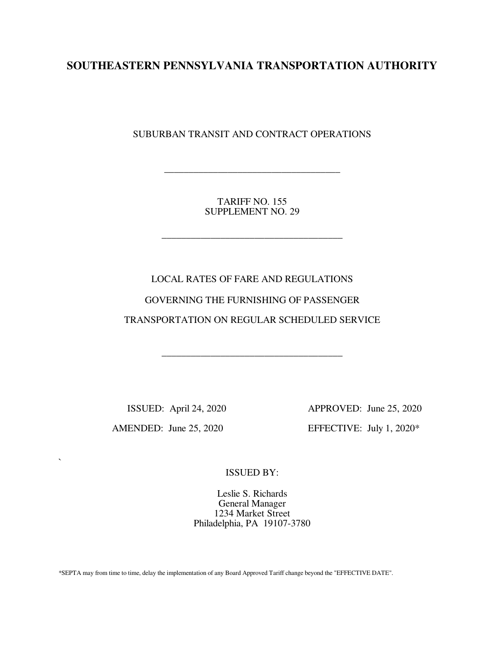# **SOUTHEASTERN PENNSYLVANIA TRANSPORTATION AUTHORITY**

SUBURBAN TRANSIT AND CONTRACT OPERATIONS

TARIFF NO. 155 SUPPLEMENT NO. 29

\_\_\_\_\_\_\_\_\_\_\_\_\_\_\_\_\_\_\_\_\_\_\_\_\_\_\_\_\_\_\_\_\_\_\_\_\_

\_\_\_\_\_\_\_\_\_\_\_\_\_\_\_\_\_\_\_\_\_\_\_\_\_\_\_\_\_\_\_\_\_\_\_\_

LOCAL RATES OF FARE AND REGULATIONS GOVERNING THE FURNISHING OF PASSENGER TRANSPORTATION ON REGULAR SCHEDULED SERVICE

\_\_\_\_\_\_\_\_\_\_\_\_\_\_\_\_\_\_\_\_\_\_\_\_\_\_\_\_\_\_\_\_\_\_\_\_\_

 $\ddot{\phantom{0}}$ 

 ISSUED: April 24, 2020 APPROVED: June 25, 2020 AMENDED: June 25, 2020 EFFECTIVE: July 1, 2020\*

ISSUED BY:

Leslie S. Richards General Manager 1234 Market Street Philadelphia, PA 19107-3780

\*SEPTA may from time to time, delay the implementation of any Board Approved Tariff change beyond the "EFFECTIVE DATE".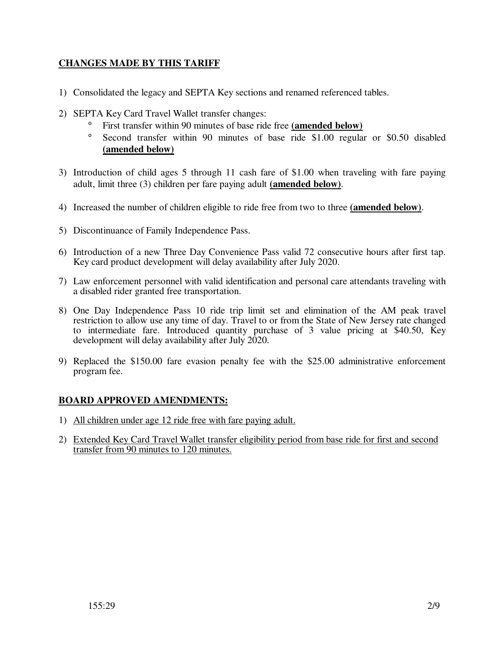## **CHANGES MADE BY THIS TARIFF**

- 1) Consolidated the legacy and SEPTA Key sections and renamed referenced tables.
- 2) SEPTA Key Card Travel Wallet transfer changes:
	- ° First transfer within 90 minutes of base ride free **(amended below)**
	- ° Second transfer within 90 minutes of base ride \$1.00 regular or \$0.50 disabled **(amended below)**
- 3) Introduction of child ages 5 through 11 cash fare of \$1.00 when traveling with fare paying adult, limit three (3) children per fare paying adult **(amended below)**.
- 4) Increased the number of children eligible to ride free from two to three **(amended below)**.
- 5) Discontinuance of Family Independence Pass.
- 6) Introduction of a new Three Day Convenience Pass valid 72 consecutive hours after first tap. Key card product development will delay availability after July 2020.
- 7) Law enforcement personnel with valid identification and personal care attendants traveling with a disabled rider granted free transportation.
- 8) One Day Independence Pass 10 ride trip limit set and elimination of the AM peak travel restriction to allow use any time of day. Travel to or from the State of New Jersey rate changed to intermediate fare. Introduced quantity purchase of 3 value pricing at \$40.50, Key development will delay availability after July 2020.
- 9) Replaced the \$150.00 fare evasion penalty fee with the \$25.00 administrative enforcement program fee.

## **BOARD APPROVED AMENDMENTS:**

- 1) All children under age 12 ride free with fare paying adult.
- 2) Extended Key Card Travel Wallet transfer eligibility period from base ride for first and second transfer from 90 minutes to 120 minutes.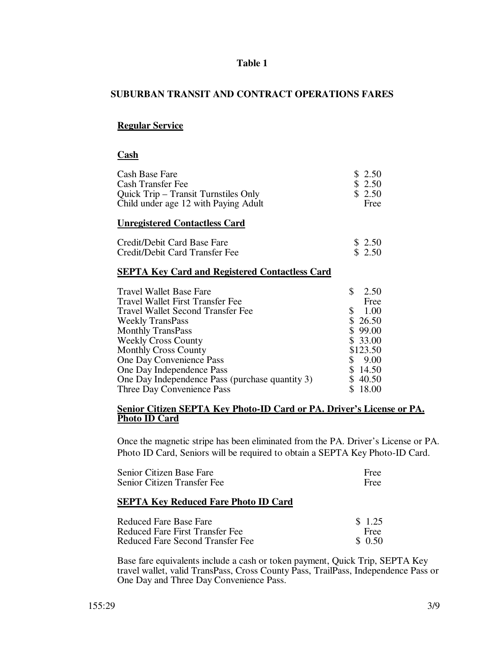## **Table 1**

## **SUBURBAN TRANSIT AND CONTRACT OPERATIONS FARES**

## **Regular Service**

#### **Cash**

| Cash Base Fare                                        | \$ 2.50    |
|-------------------------------------------------------|------------|
| <b>Cash Transfer Fee</b>                              | \$ 2.50    |
| Quick Trip – Transit Turnstiles Only                  | \$2.50     |
| Child under age 12 with Paying Adult                  | Free       |
| <b>Unregistered Contactless Card</b>                  |            |
| Credit/Debit Card Base Fare                           | \$2.50     |
| Credit/Debit Card Transfer Fee                        | \$2.50     |
| <b>SEPTA Key Card and Registered Contactless Card</b> |            |
| Travel Wallet Base Fare                               | \$<br>2.50 |
| Travel Wallet First Transfer Fee                      | Free       |
| <b>Travel Wallet Second Transfer Fee</b>              | 1.00<br>\$ |
| <b>Weekly TransPass</b>                               | \$26.50    |
| <b>Monthly TransPass</b>                              | \$99.00    |
| <b>Weekly Cross County</b>                            | \$33.00    |
| <b>Monthly Cross County</b>                           | \$123.50   |
| One Day Convenience Pass                              | \$<br>9.00 |
| One Day Independence Pass                             | \$14.50    |
| One Day Independence Pass (purchase quantity 3)       | \$40.50    |
|                                                       |            |

#### **Senior Citizen SEPTA Key Photo-ID Card or PA. Driver's License or PA. Photo ID Card**

Once the magnetic stripe has been eliminated from the PA. Driver's License or PA. Photo ID Card, Seniors will be required to obtain a SEPTA Key Photo-ID Card.

| Senior Citizen Base Fare                    | Free   |
|---------------------------------------------|--------|
| Senior Citizen Transfer Fee                 | Free   |
| <b>SEPTA Key Reduced Fare Photo ID Card</b> |        |
| Reduced Fare Base Fare                      | \$1.25 |
| Reduced Fare First Transfer Fee             | Free   |

Reduced Fare Second Transfer Fee  $\$$  0.50

Base fare equivalents include a cash or token payment, Quick Trip, SEPTA Key travel wallet, valid TransPass, Cross County Pass, TrailPass, Independence Pass or One Day and Three Day Convenience Pass.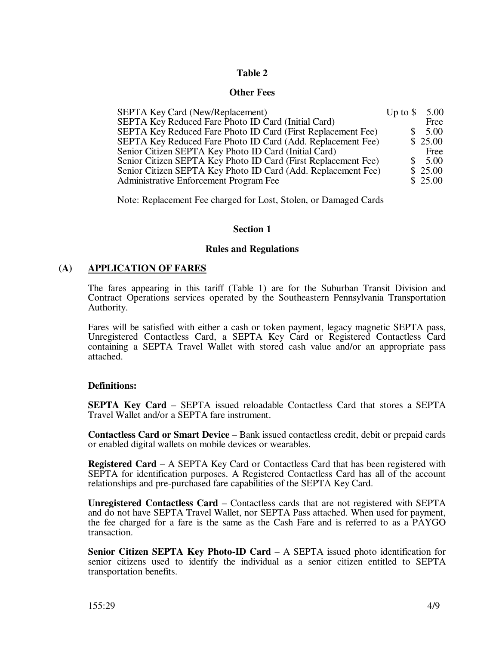## **Table 2**

#### **Other Fees**

| <b>SEPTA Key Card (New/Replacement)</b>                        | Up to $\$ | 5.00    |
|----------------------------------------------------------------|-----------|---------|
| SEPTA Key Reduced Fare Photo ID Card (Initial Card)            |           | Free    |
| SEPTA Key Reduced Fare Photo ID Card (First Replacement Fee)   |           | 5.00    |
| SEPTA Key Reduced Fare Photo ID Card (Add. Replacement Fee)    |           | \$25.00 |
| Senior Citizen SEPTA Key Photo ID Card (Initial Card)          |           | Free    |
| Senior Citizen SEPTA Key Photo ID Card (First Replacement Fee) |           | 5.00    |
| Senior Citizen SEPTA Key Photo ID Card (Add. Replacement Fee)  |           | \$25.00 |
| Administrative Enforcement Program Fee                         |           | \$25.00 |

Note: Replacement Fee charged for Lost, Stolen, or Damaged Cards

## **Section 1**

#### **Rules and Regulations**

## **(A) APPLICATION OF FARES**

The fares appearing in this tariff (Table 1) are for the Suburban Transit Division and Contract Operations services operated by the Southeastern Pennsylvania Transportation Authority.

Fares will be satisfied with either a cash or token payment, legacy magnetic SEPTA pass, Unregistered Contactless Card, a SEPTA Key Card or Registered Contactless Card containing a SEPTA Travel Wallet with stored cash value and/or an appropriate pass attached.

## **Definitions:**

**SEPTA Key Card** – SEPTA issued reloadable Contactless Card that stores a SEPTA Travel Wallet and/or a SEPTA fare instrument.

**Contactless Card or Smart Device** – Bank issued contactless credit, debit or prepaid cards or enabled digital wallets on mobile devices or wearables.

**Registered Card** – A SEPTA Key Card or Contactless Card that has been registered with SEPTA for identification purposes. A Registered Contactless Card has all of the account relationships and pre-purchased fare capabilities of the SEPTA Key Card.

**Unregistered Contactless Card** – Contactless cards that are not registered with SEPTA and do not have SEPTA Travel Wallet, nor SEPTA Pass attached. When used for payment, the fee charged for a fare is the same as the Cash Fare and is referred to as a PAYGO transaction.

**Senior Citizen SEPTA Key Photo-ID Card** – A SEPTA issued photo identification for senior citizens used to identify the individual as a senior citizen entitled to SEPTA transportation benefits.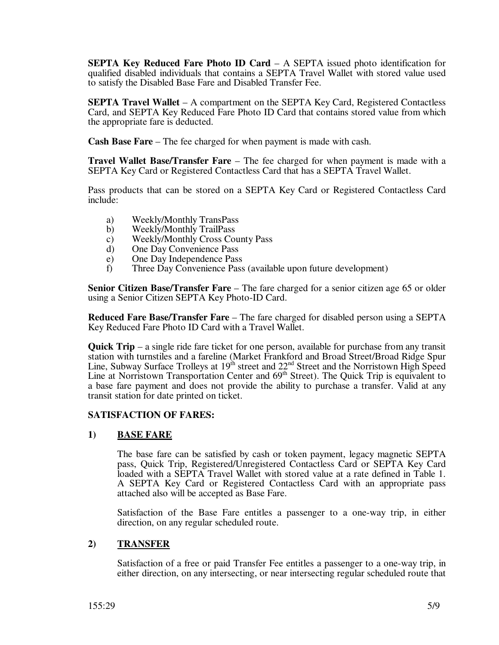**SEPTA Key Reduced Fare Photo ID Card** – A SEPTA issued photo identification for qualified disabled individuals that contains a SEPTA Travel Wallet with stored value used to satisfy the Disabled Base Fare and Disabled Transfer Fee.

**SEPTA Travel Wallet** – A compartment on the SEPTA Key Card, Registered Contactless Card, and SEPTA Key Reduced Fare Photo ID Card that contains stored value from which the appropriate fare is deducted.

**Cash Base Fare** – The fee charged for when payment is made with cash.

**Travel Wallet Base/Transfer Fare** – The fee charged for when payment is made with a SEPTA Key Card or Registered Contactless Card that has a SEPTA Travel Wallet.

Pass products that can be stored on a SEPTA Key Card or Registered Contactless Card include:

- a) Weekly/Monthly TransPass
- b) Weekly/Monthly TrailPass
- c) Weekly/Monthly Cross County Pass
- d) One Day Convenience Pass
- e) One Day Independence Pass
- f) Three Day Convenience Pass (available upon future development)

**Senior Citizen Base/Transfer Fare** – The fare charged for a senior citizen age 65 or older using a Senior Citizen SEPTA Key Photo-ID Card.

**Reduced Fare Base/Transfer Fare** – The fare charged for disabled person using a SEPTA Key Reduced Fare Photo ID Card with a Travel Wallet.

**Quick Trip** – a single ride fare ticket for one person, available for purchase from any transit station with turnstiles and a fareline (Market Frankford and Broad Street/Broad Ridge Spur Line, Subway Surface Trolleys at  $19<sup>th</sup>$  street and  $22<sup>nd</sup>$  Street and the Norristown High Speed Line at Norristown Transportation Center and 69<sup>th</sup> Street). The Quick Trip is equivalent to a base fare payment and does not provide the ability to purchase a transfer. Valid at any transit station for date printed on ticket.

## **SATISFACTION OF FARES:**

## **1) BASE FARE**

The base fare can be satisfied by cash or token payment, legacy magnetic SEPTA pass, Quick Trip, Registered/Unregistered Contactless Card or SEPTA Key Card loaded with a SEPTA Travel Wallet with stored value at a rate defined in Table 1. A SEPTA Key Card or Registered Contactless Card with an appropriate pass attached also will be accepted as Base Fare.

Satisfaction of the Base Fare entitles a passenger to a one-way trip, in either direction, on any regular scheduled route.

## **2) TRANSFER**

Satisfaction of a free or paid Transfer Fee entitles a passenger to a one-way trip, in either direction, on any intersecting, or near intersecting regular scheduled route that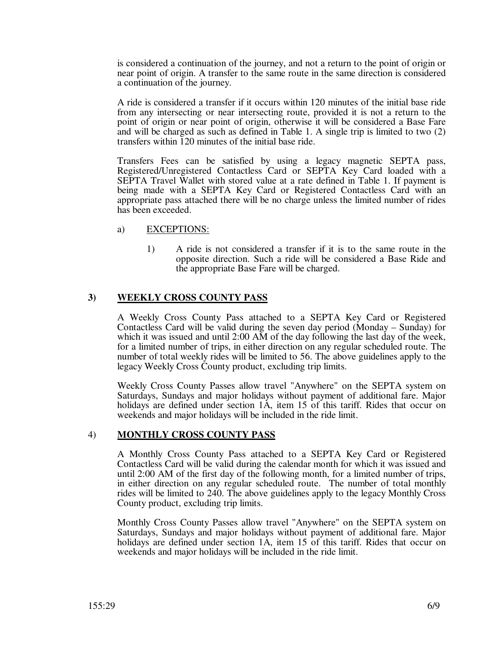is considered a continuation of the journey, and not a return to the point of origin or near point of origin. A transfer to the same route in the same direction is considered a continuation of the journey.

 A ride is considered a transfer if it occurs within 120 minutes of the initial base ride from any intersecting or near intersecting route, provided it is not a return to the point of origin or near point of origin, otherwise it will be considered a Base Fare and will be charged as such as defined in Table 1. A single trip is limited to two (2) transfers within 120 minutes of the initial base ride.

Transfers Fees can be satisfied by using a legacy magnetic SEPTA pass, Registered/Unregistered Contactless Card or SEPTA Key Card loaded with a SEPTA Travel Wallet with stored value at a rate defined in Table 1. If payment is being made with a SEPTA Key Card or Registered Contactless Card with an appropriate pass attached there will be no charge unless the limited number of rides has been exceeded.

#### a) EXCEPTIONS:

1) A ride is not considered a transfer if it is to the same route in the opposite direction. Such a ride will be considered a Base Ride and the appropriate Base Fare will be charged.

## **3) WEEKLY CROSS COUNTY PASS**

A Weekly Cross County Pass attached to a SEPTA Key Card or Registered Contactless Card will be valid during the seven day period (Monday – Sunday) for which it was issued and until 2:00 AM of the day following the last day of the week, for a limited number of trips, in either direction on any regular scheduled route. The number of total weekly rides will be limited to 56. The above guidelines apply to the legacy Weekly Cross County product, excluding trip limits.

Weekly Cross County Passes allow travel "Anywhere" on the SEPTA system on Saturdays, Sundays and major holidays without payment of additional fare. Major holidays are defined under section 1A, item 15 of this tariff. Rides that occur on weekends and major holidays will be included in the ride limit.

#### 4) **MONTHLY CROSS COUNTY PASS**

A Monthly Cross County Pass attached to a SEPTA Key Card or Registered Contactless Card will be valid during the calendar month for which it was issued and until 2:00 AM of the first day of the following month, for a limited number of trips, in either direction on any regular scheduled route. The number of total monthly rides will be limited to 240. The above guidelines apply to the legacy Monthly Cross County product, excluding trip limits.

Monthly Cross County Passes allow travel "Anywhere" on the SEPTA system on Saturdays, Sundays and major holidays without payment of additional fare. Major holidays are defined under section 1A, item 15 of this tariff. Rides that occur on weekends and major holidays will be included in the ride limit.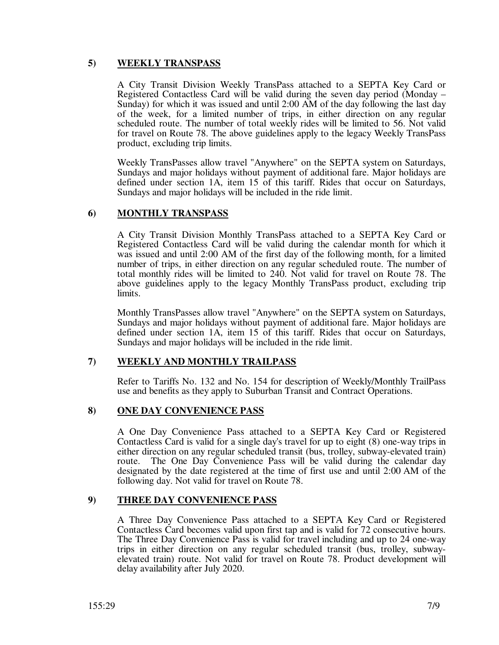## **5) WEEKLY TRANSPASS**

A City Transit Division Weekly TransPass attached to a SEPTA Key Card or Registered Contactless Card will be valid during the seven day period (Monday – Sunday) for which it was issued and until 2:00 AM of the day following the last day of the week, for a limited number of trips, in either direction on any regular scheduled route. The number of total weekly rides will be limited to 56. Not valid for travel on Route 78. The above guidelines apply to the legacy Weekly TransPass product, excluding trip limits.

Weekly TransPasses allow travel "Anywhere" on the SEPTA system on Saturdays, Sundays and major holidays without payment of additional fare. Major holidays are defined under section 1A, item 15 of this tariff. Rides that occur on Saturdays, Sundays and major holidays will be included in the ride limit.

## **6) MONTHLY TRANSPASS**

A City Transit Division Monthly TransPass attached to a SEPTA Key Card or Registered Contactless Card will be valid during the calendar month for which it was issued and until 2:00 AM of the first day of the following month, for a limited number of trips, in either direction on any regular scheduled route. The number of total monthly rides will be limited to 240. Not valid for travel on Route 78. The above guidelines apply to the legacy Monthly TransPass product, excluding trip limits.

Monthly TransPasses allow travel "Anywhere" on the SEPTA system on Saturdays, Sundays and major holidays without payment of additional fare. Major holidays are defined under section 1A, item 15 of this tariff. Rides that occur on Saturdays, Sundays and major holidays will be included in the ride limit.

## **7) WEEKLY AND MONTHLY TRAILPASS**

Refer to Tariffs No. 132 and No. 154 for description of Weekly/Monthly TrailPass use and benefits as they apply to Suburban Transit and Contract Operations.

## **8) ONE DAY CONVENIENCE PASS**

A One Day Convenience Pass attached to a SEPTA Key Card or Registered Contactless Card is valid for a single day's travel for up to eight (8) one-way trips in either direction on any regular scheduled transit (bus, trolley, subway-elevated train) route. The One Day Convenience Pass will be valid during the calendar day The One Day Convenience Pass will be valid during the calendar day designated by the date registered at the time of first use and until 2:00 AM of the following day. Not valid for travel on Route 78.

## **9) THREE DAY CONVENIENCE PASS**

A Three Day Convenience Pass attached to a SEPTA Key Card or Registered Contactless Card becomes valid upon first tap and is valid for 72 consecutive hours. The Three Day Convenience Pass is valid for travel including and up to 24 one-way trips in either direction on any regular scheduled transit (bus, trolley, subwayelevated train) route. Not valid for travel on Route 78. Product development will delay availability after July 2020.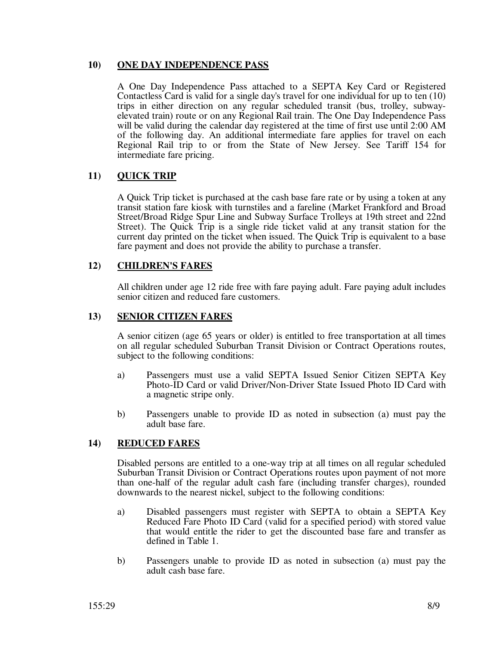### **10) ONE DAY INDEPENDENCE PASS**

A One Day Independence Pass attached to a SEPTA Key Card or Registered Contactless Card is valid for a single day's travel for one individual for up to ten (10) trips in either direction on any regular scheduled transit (bus, trolley, subwayelevated train) route or on any Regional Rail train. The One Day Independence Pass will be valid during the calendar day registered at the time of first use until 2:00 AM of the following day. An additional intermediate fare applies for travel on each Regional Rail trip to or from the State of New Jersey. See Tariff 154 for intermediate fare pricing.

## **11) QUICK TRIP**

A Quick Trip ticket is purchased at the cash base fare rate or by using a token at any transit station fare kiosk with turnstiles and a fareline (Market Frankford and Broad Street/Broad Ridge Spur Line and Subway Surface Trolleys at 19th street and 22nd Street). The Quick Trip is a single ride ticket valid at any transit station for the current day printed on the ticket when issued. The Quick Trip is equivalent to a base fare payment and does not provide the ability to purchase a transfer.

## **12) CHILDREN'S FARES**

All children under age 12 ride free with fare paying adult. Fare paying adult includes senior citizen and reduced fare customers.

## **13) SENIOR CITIZEN FARES**

A senior citizen (age 65 years or older) is entitled to free transportation at all times on all regular scheduled Suburban Transit Division or Contract Operations routes, subject to the following conditions:

- a) Passengers must use a valid SEPTA Issued Senior Citizen SEPTA Key Photo-ID Card or valid Driver/Non-Driver State Issued Photo ID Card with a magnetic stripe only.
- b) Passengers unable to provide ID as noted in subsection (a) must pay the adult base fare.

## **14) REDUCED FARES**

Disabled persons are entitled to a one-way trip at all times on all regular scheduled Suburban Transit Division or Contract Operations routes upon payment of not more than one-half of the regular adult cash fare (including transfer charges), rounded downwards to the nearest nickel, subject to the following conditions:

- a) Disabled passengers must register with SEPTA to obtain a SEPTA Key Reduced Fare Photo ID Card (valid for a specified period) with stored value that would entitle the rider to get the discounted base fare and transfer as defined in Table 1.
- b) Passengers unable to provide ID as noted in subsection (a) must pay the adult cash base fare.